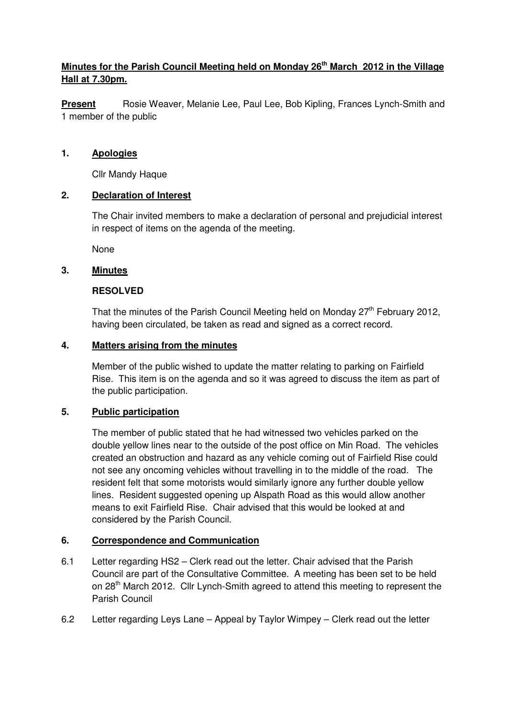# **Minutes for the Parish Council Meeting held on Monday 26th March 2012 in the Village Hall at 7.30pm.**

**Present** Rosie Weaver, Melanie Lee, Paul Lee, Bob Kipling, Frances Lynch-Smith and 1 member of the public

#### **1. Apologies**

Cllr Mandy Haque

#### **2. Declaration of Interest**

The Chair invited members to make a declaration of personal and prejudicial interest in respect of items on the agenda of the meeting.

None

#### **3. Minutes**

#### **RESOLVED**

That the minutes of the Parish Council Meeting held on Monday  $27<sup>th</sup>$  February 2012. having been circulated, be taken as read and signed as a correct record.

#### **4. Matters arising from the minutes**

 Member of the public wished to update the matter relating to parking on Fairfield Rise. This item is on the agenda and so it was agreed to discuss the item as part of the public participation.

# **5. Public participation**

 The member of public stated that he had witnessed two vehicles parked on the double yellow lines near to the outside of the post office on Min Road. The vehicles created an obstruction and hazard as any vehicle coming out of Fairfield Rise could not see any oncoming vehicles without travelling in to the middle of the road. The resident felt that some motorists would similarly ignore any further double yellow lines. Resident suggested opening up Alspath Road as this would allow another means to exit Fairfield Rise. Chair advised that this would be looked at and considered by the Parish Council.

# **6. Correspondence and Communication**

- 6.1 Letter regarding HS2 Clerk read out the letter. Chair advised that the Parish Council are part of the Consultative Committee. A meeting has been set to be held on 28<sup>th</sup> March 2012. Cllr Lynch-Smith agreed to attend this meeting to represent the Parish Council
- 6.2 Letter regarding Leys Lane Appeal by Taylor Wimpey Clerk read out the letter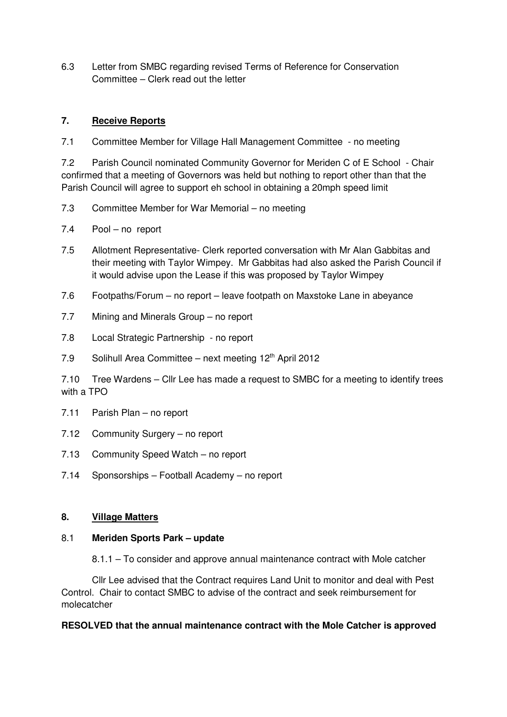6.3 Letter from SMBC regarding revised Terms of Reference for Conservation Committee – Clerk read out the letter

# **7. Receive Reports**

7.1 Committee Member for Village Hall Management Committee - no meeting

7.2 Parish Council nominated Community Governor for Meriden C of E School - Chair confirmed that a meeting of Governors was held but nothing to report other than that the Parish Council will agree to support eh school in obtaining a 20mph speed limit

- 7.3 Committee Member for War Memorial no meeting
- 7.4 Pool no report
- 7.5 Allotment Representative- Clerk reported conversation with Mr Alan Gabbitas and their meeting with Taylor Wimpey. Mr Gabbitas had also asked the Parish Council if it would advise upon the Lease if this was proposed by Taylor Wimpey
- 7.6 Footpaths/Forum no report leave footpath on Maxstoke Lane in abeyance
- 7.7 Mining and Minerals Group no report
- 7.8 Local Strategic Partnership no report
- 7.9 Solihull Area Committee next meeting 12<sup>th</sup> April 2012

7.10 Tree Wardens – Cllr Lee has made a request to SMBC for a meeting to identify trees with a TPO

- 7.11 Parish Plan no report
- 7.12 Community Surgery no report
- 7.13 Community Speed Watch no report
- 7.14 Sponsorships Football Academy no report

#### **8. Village Matters**

#### 8.1 **Meriden Sports Park – update**

8.1.1 – To consider and approve annual maintenance contract with Mole catcher

 Cllr Lee advised that the Contract requires Land Unit to monitor and deal with Pest Control. Chair to contact SMBC to advise of the contract and seek reimbursement for molecatcher

#### **RESOLVED that the annual maintenance contract with the Mole Catcher is approved**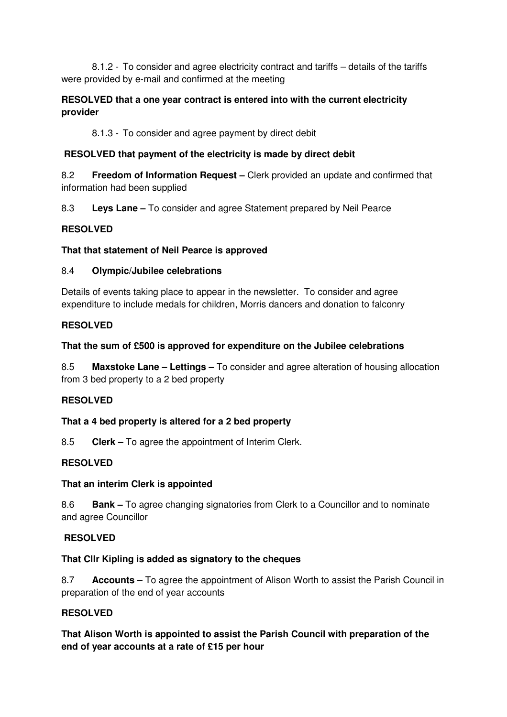8.1.2 - To consider and agree electricity contract and tariffs – details of the tariffs were provided by e-mail and confirmed at the meeting

# **RESOLVED that a one year contract is entered into with the current electricity provider**

8.1.3 - To consider and agree payment by direct debit

# **RESOLVED that payment of the electricity is made by direct debit**

8.2 **Freedom of Information Request –** Clerk provided an update and confirmed that information had been supplied

8.3 **Leys Lane –** To consider and agree Statement prepared by Neil Pearce

# **RESOLVED**

# **That that statement of Neil Pearce is approved**

# 8.4 **Olympic/Jubilee celebrations**

Details of events taking place to appear in the newsletter. To consider and agree expenditure to include medals for children, Morris dancers and donation to falconry

# **RESOLVED**

# **That the sum of £500 is approved for expenditure on the Jubilee celebrations**

8.5 **Maxstoke Lane – Lettings –** To consider and agree alteration of housing allocation from 3 bed property to a 2 bed property

# **RESOLVED**

# **That a 4 bed property is altered for a 2 bed property**

8.5 **Clerk –** To agree the appointment of Interim Clerk.

# **RESOLVED**

# **That an interim Clerk is appointed**

8.6 **Bank –** To agree changing signatories from Clerk to a Councillor and to nominate and agree Councillor

# **RESOLVED**

# **That Cllr Kipling is added as signatory to the cheques**

8.7 **Accounts –** To agree the appointment of Alison Worth to assist the Parish Council in preparation of the end of year accounts

# **RESOLVED**

**That Alison Worth is appointed to assist the Parish Council with preparation of the end of year accounts at a rate of £15 per hour**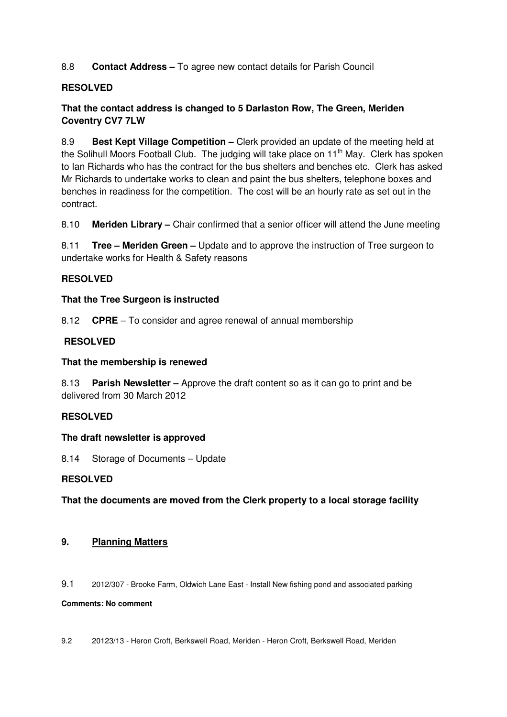8.8 **Contact Address –** To agree new contact details for Parish Council

#### **RESOLVED**

# **That the contact address is changed to 5 Darlaston Row, The Green, Meriden Coventry CV7 7LW**

8.9 **Best Kept Village Competition –** Clerk provided an update of the meeting held at the Solihull Moors Football Club. The judging will take place on  $11<sup>th</sup>$  May. Clerk has spoken to Ian Richards who has the contract for the bus shelters and benches etc. Clerk has asked Mr Richards to undertake works to clean and paint the bus shelters, telephone boxes and benches in readiness for the competition. The cost will be an hourly rate as set out in the contract.

8.10 **Meriden Library –** Chair confirmed that a senior officer will attend the June meeting

8.11 **Tree – Meriden Green –** Update and to approve the instruction of Tree surgeon to undertake works for Health & Safety reasons

#### **RESOLVED**

#### **That the Tree Surgeon is instructed**

8.12 **CPRE** – To consider and agree renewal of annual membership

#### **RESOLVED**

#### **That the membership is renewed**

8.13 **Parish Newsletter –** Approve the draft content so as it can go to print and be delivered from 30 March 2012

#### **RESOLVED**

#### **The draft newsletter is approved**

8.14 Storage of Documents – Update

# **RESOLVED**

**That the documents are moved from the Clerk property to a local storage facility**

#### **9. Planning Matters**

9.1 2012/307 - Brooke Farm, Oldwich Lane East - Install New fishing pond and associated parking

#### **Comments: No comment**

9.2 20123/13 - Heron Croft, Berkswell Road, Meriden - Heron Croft, Berkswell Road, Meriden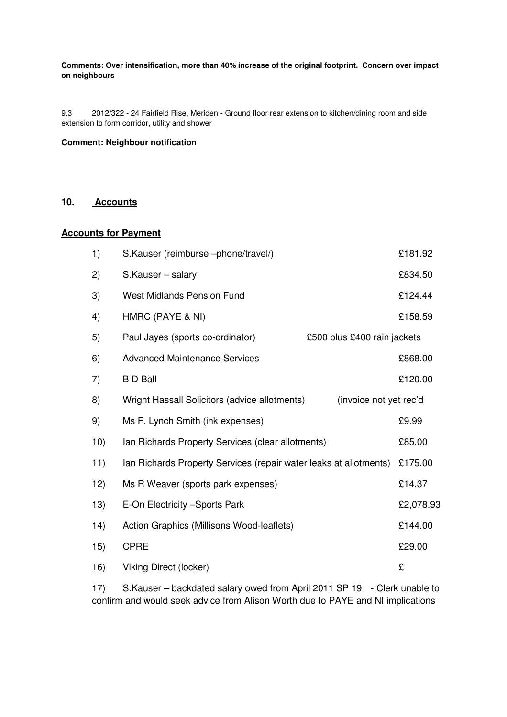#### **Comments: Over intensification, more than 40% increase of the original footprint. Concern over impact on neighbours**

9.3 2012/322 - 24 Fairfield Rise, Meriden - Ground floor rear extension to kitchen/dining room and side extension to form corridor, utility and shower

#### **Comment: Neighbour notification**

#### **10. Accounts**

#### **Accounts for Payment**

| 1)   | S.Kauser (reimburse -phone/travel/)                                     | £181.92   |
|------|-------------------------------------------------------------------------|-----------|
| 2)   | S.Kauser - salary                                                       | £834.50   |
| 3)   | <b>West Midlands Pension Fund</b>                                       | £124.44   |
| 4)   | HMRC (PAYE & NI)                                                        | £158.59   |
| 5)   | Paul Jayes (sports co-ordinator)<br>£500 plus £400 rain jackets         |           |
| 6)   | <b>Advanced Maintenance Services</b>                                    | £868.00   |
| 7)   | <b>BD</b> Ball                                                          | £120.00   |
| 8)   | Wright Hassall Solicitors (advice allotments)<br>(invoice not yet rec'd |           |
| 9)   | Ms F. Lynch Smith (ink expenses)                                        | £9.99     |
| 10)  | Ian Richards Property Services (clear allotments)                       | £85.00    |
| 11)  | Ian Richards Property Services (repair water leaks at allotments)       | £175.00   |
| 12)  | Ms R Weaver (sports park expenses)                                      | £14.37    |
| 13)  | E-On Electricity - Sports Park                                          | £2,078.93 |
| (14) | Action Graphics (Millisons Wood-leaflets)                               | £144.00   |
| 15)  | <b>CPRE</b>                                                             | £29.00    |
| 16)  | Viking Direct (locker)                                                  | £         |

 17) S.Kauser – backdated salary owed from April 2011 SP 19 - Clerk unable to confirm and would seek advice from Alison Worth due to PAYE and NI implications